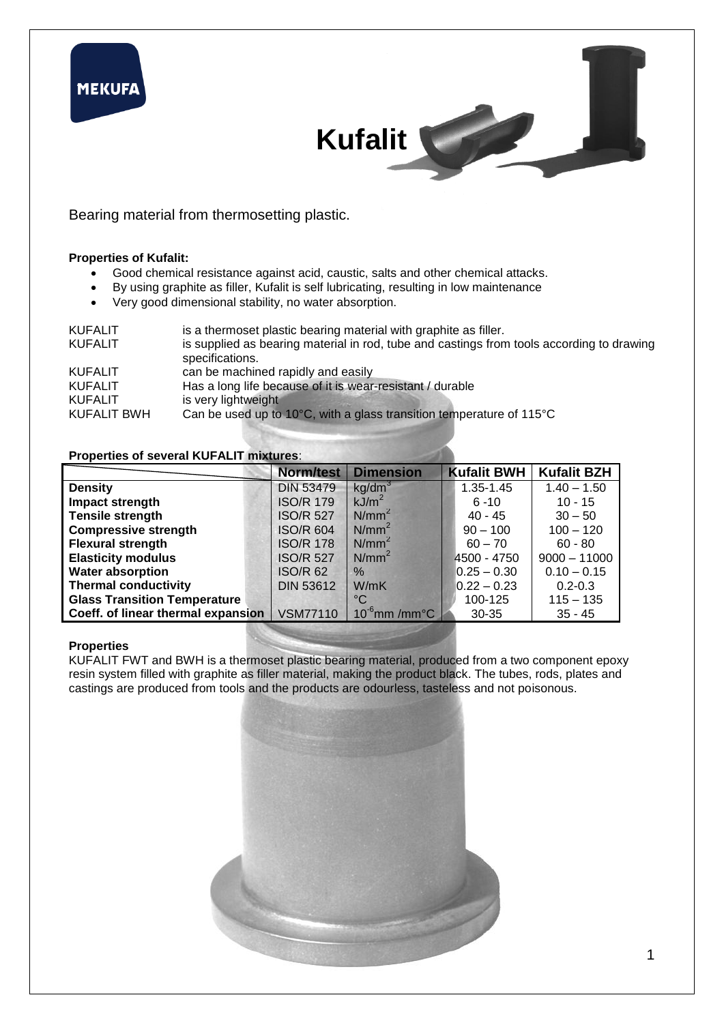

Bearing material from thermosetting plastic.

#### **Properties of Kufalit:**

- Good chemical resistance against acid, caustic, salts and other chemical attacks.
- By using graphite as filler, Kufalit is self lubricating, resulting in low maintenance
- Very good dimensional stability, no water absorption.

| <b>KUFALIT</b> | is a thermoset plastic bearing material with graphite as filler.                                             |
|----------------|--------------------------------------------------------------------------------------------------------------|
| <b>KUFALIT</b> | is supplied as bearing material in rod, tube and castings from tools according to drawing<br>specifications. |
| <b>KUFALIT</b> | can be machined rapidly and easily                                                                           |
| <b>KUFALIT</b> | Has a long life because of it is wear-resistant / durable                                                    |
| <b>KUFALIT</b> | is very lightweight                                                                                          |
| KUFALIT BWH    | Can be used up to 10°C, with a glass transition temperature of 115°C                                         |

#### **Properties of several KUFALIT mixtures**:

|                                     | <b>Norm/test</b> | <b>Dimension</b>              | <b>Kufalit BWH</b> | <b>Kufalit BZH</b> |
|-------------------------------------|------------------|-------------------------------|--------------------|--------------------|
| <b>Density</b>                      | <b>DIN 53479</b> | kg/dm <sup>3</sup>            | 1.35-1.45          | $1.40 - 1.50$      |
| Impact strength                     | <b>ISO/R 179</b> | kJ/m <sup>2</sup>             | $6 - 10$           | $10 - 15$          |
| <b>Tensile strength</b>             | <b>ISO/R 527</b> | $N/mm^2$                      | $40 - 45$          | $30 - 50$          |
| <b>Compressive strength</b>         | <b>ISO/R 604</b> | $N/mm^2$                      | $90 - 100$         | $100 - 120$        |
| <b>Flexural strength</b>            | <b>ISO/R 178</b> | $N/mm^2$                      | $60 - 70$          | $60 - 80$          |
| <b>Elasticity modulus</b>           | <b>ISO/R 527</b> | N/mm <sup>2</sup>             | 4500 - 4750        | $9000 - 11000$     |
| <b>Water absorption</b>             | <b>ISO/R 62</b>  | $\%$                          | $0.25 - 0.30$      | $0.10 - 0.15$      |
| <b>Thermal conductivity</b>         | <b>DIN 53612</b> | W/mK                          | $0.22 - 0.23$      | $0.2 - 0.3$        |
| <b>Glass Transition Temperature</b> |                  | $^{\circ}C$                   | 100-125            | $115 - 135$        |
| Coeff. of linear thermal expansion  | <b>VSM77110</b>  | $10^{-6}$ mm /mm $^{\circ}$ C | $30 - 35$          | $35 - 45$          |

#### **Properties**

KUFALIT FWT and BWH is a thermoset plastic bearing material, produced from a two component epoxy resin system filled with graphite as filler material, making the product black. The tubes, rods, plates and castings are produced from tools and the products are odourless, tasteless and not poisonous.

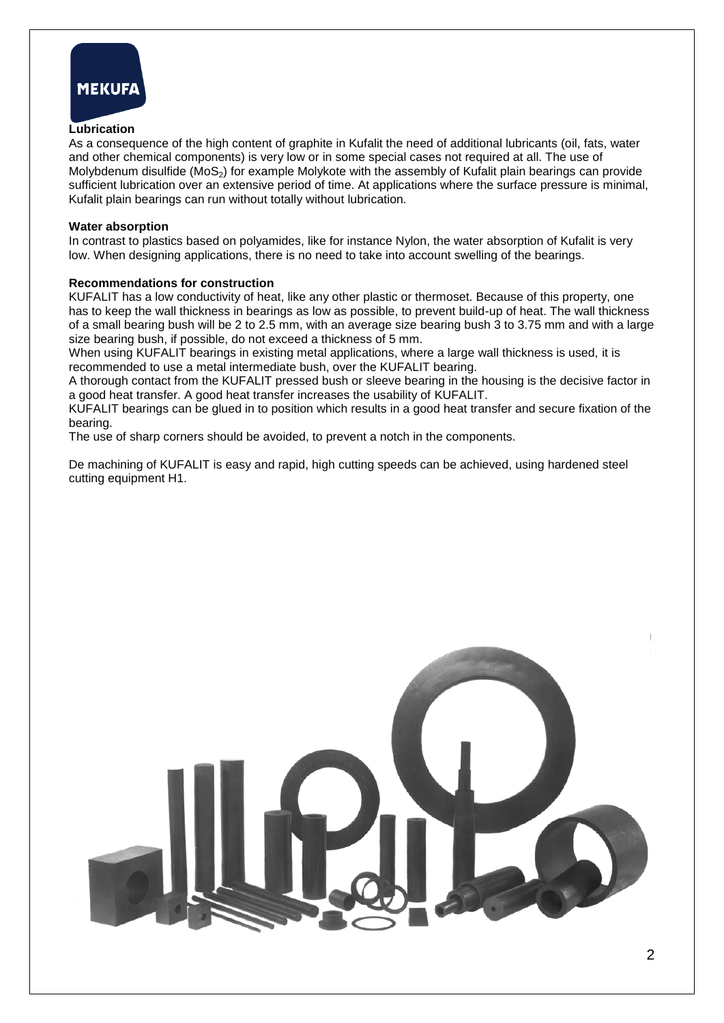

#### **Lubrication**

As a consequence of the high content of graphite in Kufalit the need of additional lubricants (oil, fats, water and other chemical components) is very low or in some special cases not required at all. The use of Molybdenum disulfide  $(MoS<sub>2</sub>)$  for example Molykote with the assembly of Kufalit plain bearings can provide sufficient lubrication over an extensive period of time. At applications where the surface pressure is minimal, Kufalit plain bearings can run without totally without lubrication.

#### **Water absorption**

In contrast to plastics based on polyamides, like for instance Nylon, the water absorption of Kufalit is very low. When designing applications, there is no need to take into account swelling of the bearings.

#### **Recommendations for construction**

KUFALIT has a low conductivity of heat, like any other plastic or thermoset. Because of this property, one has to keep the wall thickness in bearings as low as possible, to prevent build-up of heat. The wall thickness of a small bearing bush will be 2 to 2.5 mm, with an average size bearing bush 3 to 3.75 mm and with a large size bearing bush, if possible, do not exceed a thickness of 5 mm.

When using KUFALIT bearings in existing metal applications, where a large wall thickness is used, it is recommended to use a metal intermediate bush, over the KUFALIT bearing.

A thorough contact from the KUFALIT pressed bush or sleeve bearing in the housing is the decisive factor in a good heat transfer. A good heat transfer increases the usability of KUFALIT.

KUFALIT bearings can be glued in to position which results in a good heat transfer and secure fixation of the bearing.

The use of sharp corners should be avoided, to prevent a notch in the components.

De machining of KUFALIT is easy and rapid, high cutting speeds can be achieved, using hardened steel cutting equipment H1.

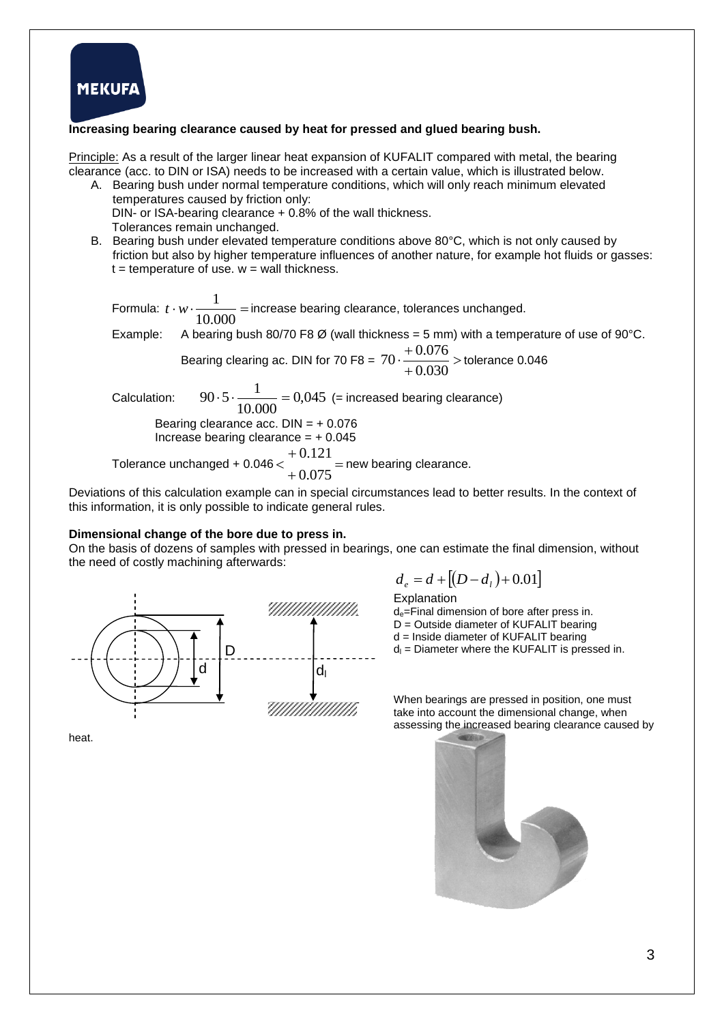

#### **Increasing bearing clearance caused by heat for pressed and glued bearing bush.**

Principle: As a result of the larger linear heat expansion of KUFALIT compared with metal, the bearing clearance (acc. to DIN or ISA) needs to be increased with a certain value, which is illustrated below.

A. Bearing bush under normal temperature conditions, which will only reach minimum elevated temperatures caused by friction only: DIN- or ISA-bearing clearance + 0.8% of the wall thickness. Tolerances remain unchanged.

B. Bearing bush under elevated temperature conditions above 80°C, which is not only caused by friction but also by higher temperature influences of another nature, for example hot fluids or gasses:  $t =$  temperature of use.  $w =$  wall thickness.

Formula:  $t \cdot w \cdot \frac{1}{100000}$  = 10.000  $t \cdot w \cdot \frac{1}{t \cdot \cos \theta}$  = increase bearing clearance, tolerances unchanged. Example: A bearing bush 80/70 F8 Ø (wall thickness = 5 mm) with a temperature of use of 90°C. Bearing clearing ac. DIN for 70 F8 =  $70 \cdot \frac{10.070}{2000}$  $\overline{+}$  $\frac{+}{-}$ 0.030  $70 \cdot \frac{+0.076}{0.000}$  > tolerance 0.046 Calculation: 0,045 10.000  $90.5 \cdot \frac{1}{10000} = 0,045$  (= increased bearing clearance) Bearing clearance acc.  $DIN = +0.076$ Increase bearing clearance  $= +0.045$ Tolerance unchanged +  $0.046 < \frac{0.127}{0.027}$  $^{+}$  $^{+}$  $\lt$ 0.075 0.121 new bearing clearance.

Deviations of this calculation example can in special circumstances lead to better results. In the context of this information, it is only possible to indicate general rules.

#### **Dimensional change of the bore due to press in.**

On the basis of dozens of samples with pressed in bearings, one can estimate the final dimension, without the need of costly machining afterwards:



 $d_e = d + [(D - d_i) + 0.01]$ 

Explanation d<sub>e</sub>=Final dimension of bore after press in. D = Outside diameter of KUFALIT bearing d = Inside diameter of KUFALIT bearing  $d_i$  = Diameter where the KUFALIT is pressed in.

When bearings are pressed in position, one must take into account the dimensional change, when assessing the increased bearing clearance caused by



heat.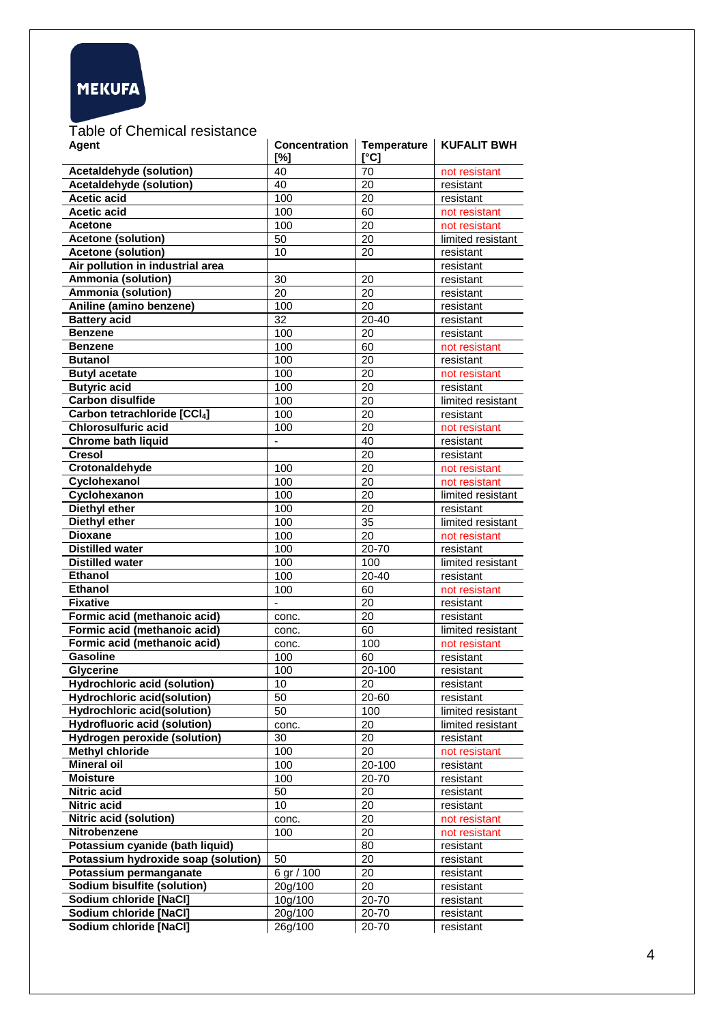

Table of Chemical resistance

| <b>Agent</b>                        | <b>Concentration</b><br>[%] | <b>Temperature</b><br>[°C] | <b>KUFALIT BWH</b> |  |  |
|-------------------------------------|-----------------------------|----------------------------|--------------------|--|--|
| Acetaldehyde (solution)             | 40                          | 70                         | not resistant      |  |  |
| <b>Acetaldehyde (solution)</b>      | 40                          | 20                         | resistant          |  |  |
| <b>Acetic acid</b>                  | 100                         | 20                         | resistant          |  |  |
| <b>Acetic acid</b>                  | 100                         | 60                         | not resistant      |  |  |
| <b>Acetone</b>                      | 100                         | 20                         | not resistant      |  |  |
| <b>Acetone (solution)</b>           | 50                          | 20                         | limited resistant  |  |  |
| <b>Acetone (solution)</b>           | 10                          | 20                         | resistant          |  |  |
| Air pollution in industrial area    |                             |                            | resistant          |  |  |
| Ammonia (solution)                  | 30                          | 20                         | resistant          |  |  |
| Ammonia (solution)                  | 20                          | 20                         | resistant          |  |  |
| Aniline (amino benzene)             | 100                         | 20                         | resistant          |  |  |
| <b>Battery acid</b>                 | 32                          | $20 - 40$                  | resistant          |  |  |
| <b>Benzene</b>                      | 100                         | 20                         | resistant          |  |  |
| <b>Benzene</b>                      | 100                         | 60                         | not resistant      |  |  |
| <b>Butanol</b>                      | 100                         | 20                         | resistant          |  |  |
| <b>Butyl acetate</b>                | 100                         | 20                         | not resistant      |  |  |
| <b>Butyric acid</b>                 | 100                         | 20                         | resistant          |  |  |
| <b>Carbon disulfide</b>             | 100                         | 20                         | limited resistant  |  |  |
| Carbon tetrachloride [CCl4]         | 100                         | 20                         | resistant          |  |  |
| <b>Chlorosulfuric acid</b>          | 100                         | 20                         | not resistant      |  |  |
| Chrome bath liquid                  |                             | 40                         | resistant          |  |  |
| <b>Cresol</b>                       |                             | 20                         | resistant          |  |  |
| Crotonaldehyde                      | 100                         | 20                         | not resistant      |  |  |
| Cyclohexanol                        | 100                         | 20                         | not resistant      |  |  |
| Cyclohexanon                        | 100                         | 20                         | limited resistant  |  |  |
| Diethyl ether                       | 100                         | 20                         | resistant          |  |  |
| <b>Diethyl ether</b>                | 100                         | 35                         | limited resistant  |  |  |
| <b>Dioxane</b>                      | 100                         | 20                         | not resistant      |  |  |
| <b>Distilled</b> water              | 100                         | 20-70                      | resistant          |  |  |
| <b>Distilled water</b>              | 100                         | 100                        | limited resistant  |  |  |
| <b>Ethanol</b>                      | 100                         | 20-40                      | resistant          |  |  |
| <b>Ethanol</b>                      | 100                         | 60                         | not resistant      |  |  |
| <b>Fixative</b>                     | ÷,                          | 20                         | resistant          |  |  |
| Formic acid (methanoic acid)        | conc.                       | 20                         | resistant          |  |  |
| Formic acid (methanoic acid)        | conc.                       | 60                         | limited resistant  |  |  |
| Formic acid (methanoic acid)        | conc.                       | 100                        | not resistant      |  |  |
| <b>Gasoline</b>                     | 100                         | 60                         | resistant          |  |  |
| Glycerine                           | 100                         | 20-100                     | resistant          |  |  |
| <b>Hydrochloric acid (solution)</b> | 10                          | 20                         | resistant          |  |  |
| <b>Hydrochloric acid(solution)</b>  | 50                          | 20-60                      | resistant          |  |  |
| <b>Hydrochloric acid(solution)</b>  | 50                          | 100                        | limited resistant  |  |  |
| <b>Hydrofluoric acid (solution)</b> | conc.                       | 20                         | limited resistant  |  |  |
| <b>Hydrogen peroxide (solution)</b> | 30                          | 20                         | resistant          |  |  |
| <b>Methyl chloride</b>              | 100                         | 20                         | not resistant      |  |  |
| <b>Mineral oil</b>                  | 100                         | $20 - 100$                 | resistant          |  |  |
| <b>Moisture</b>                     | 100                         | 20-70                      | resistant          |  |  |
| <b>Nitric acid</b>                  | 50                          | 20                         | resistant          |  |  |
| <b>Nitric acid</b>                  | 10                          | 20                         | resistant          |  |  |
| <b>Nitric acid (solution)</b>       | conc.                       | 20                         | not resistant      |  |  |
| Nitrobenzene                        | 100                         | 20                         | not resistant      |  |  |
| Potassium cyanide (bath liquid)     |                             | 80                         | resistant          |  |  |
| Potassium hydroxide soap (solution) | 50                          | 20                         | resistant          |  |  |
| Potassium permanganate              | 6 gr / 100                  | 20                         | resistant          |  |  |
| Sodium bisulfite (solution)         | 20g/100                     | 20                         | resistant          |  |  |
| Sodium chloride [NaCl]              | 10g/100                     | 20-70                      | resistant          |  |  |
| Sodium chloride [NaCl]              | 20g/100                     | 20-70                      | resistant          |  |  |
| Sodium chloride [NaCl]              | 26g/100                     | 20-70                      | resistant          |  |  |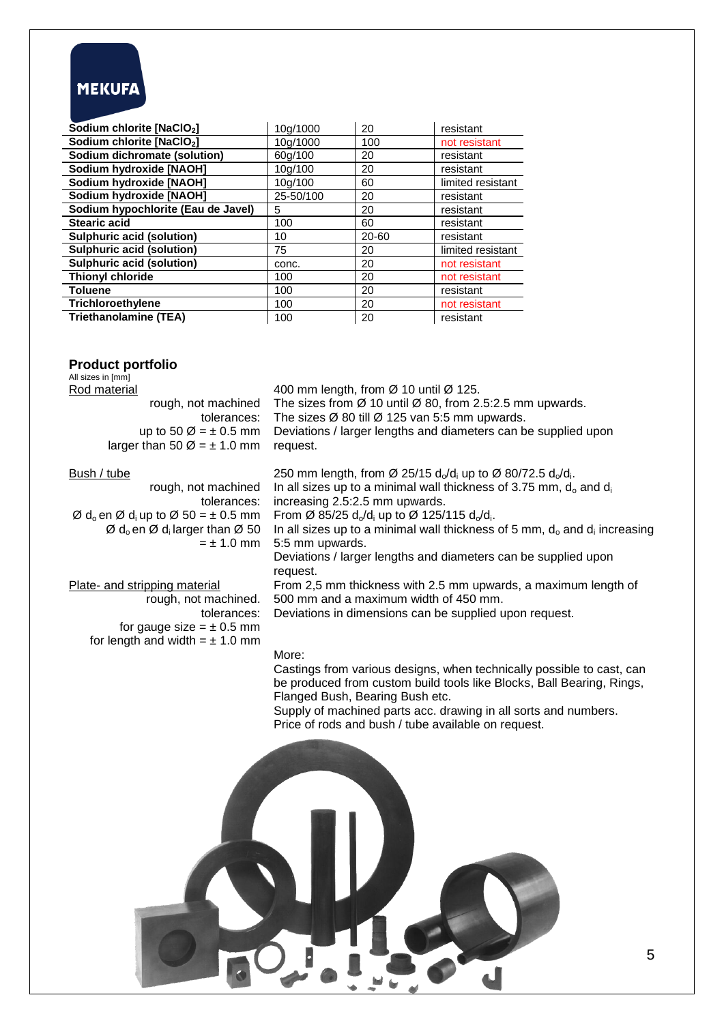# **MEKUFA**

| Sodium chlorite [NaClO <sub>2</sub> ] | 10g/1000  | 20        | resistant         |
|---------------------------------------|-----------|-----------|-------------------|
| Sodium chlorite [NaClO <sub>2</sub> ] | 10g/1000  | 100       | not resistant     |
| Sodium dichromate (solution)          | 60g/100   | 20        | resistant         |
| Sodium hydroxide [NAOH]               | 10g/100   | 20        | resistant         |
| Sodium hydroxide [NAOH]               | 10g/100   | 60        | limited resistant |
| Sodium hydroxide [NAOH]               | 25-50/100 | 20        | resistant         |
| Sodium hypochlorite (Eau de Javel)    | 5         | 20        | resistant         |
| <b>Stearic acid</b>                   | 100       | 60        | resistant         |
| <b>Sulphuric acid (solution)</b>      | 10        | $20 - 60$ | resistant         |
| <b>Sulphuric acid (solution)</b>      | 75        | 20        | limited resistant |
| <b>Sulphuric acid (solution)</b>      | conc.     | 20        | not resistant     |
| <b>Thionyl chloride</b>               | 100       | 20        | not resistant     |
| <b>Toluene</b>                        | 100       | 20        | resistant         |
| Trichloroethylene                     | 100       | 20        | not resistant     |
| <b>Triethanolamine (TEA)</b>          | 100       | 20        | resistant         |

# **Product portfolio**

| All sizes in [mm]<br>Rod material<br>rough, not machined<br>tolerances:<br>up to 50 $\varnothing$ = $\pm$ 0.5 mm<br>larger than 50 $\varnothing$ = $\pm$ 1.0 mm                                                                                                    | 400 mm length, from Ø 10 until Ø 125.<br>The sizes from $\varnothing$ 10 until $\varnothing$ 80, from 2.5:2.5 mm upwards.<br>The sizes $\varnothing$ 80 till $\varnothing$ 125 van 5:5 mm upwards.<br>Deviations / larger lengths and diameters can be supplied upon<br>request.                                                                                                                                         |
|--------------------------------------------------------------------------------------------------------------------------------------------------------------------------------------------------------------------------------------------------------------------|--------------------------------------------------------------------------------------------------------------------------------------------------------------------------------------------------------------------------------------------------------------------------------------------------------------------------------------------------------------------------------------------------------------------------|
| Bush / tube<br>rough, not machined<br>tolerances:<br>$\varnothing$ d <sub>o</sub> en $\varnothing$ d <sub>i</sub> up to $\varnothing$ 50 = $\pm$ 0.5 mm<br>$\varnothing$ d <sub>o</sub> en $\varnothing$ d <sub>i</sub> larger than $\varnothing$ 50<br>$= 1.0$ mm | 250 mm length, from Ø 25/15 $d_0/d_i$ up to Ø 80/72.5 $d_0/d_i$ .<br>In all sizes up to a minimal wall thickness of 3.75 mm, $d_0$ and $d_i$<br>increasing 2.5:2.5 mm upwards.<br>From Ø 85/25 $d_0/d_i$ up to Ø 125/115 $d_0/d_i$ .<br>In all sizes up to a minimal wall thickness of 5 mm, $d_0$ and $d_i$ increasing<br>5:5 mm upwards.<br>Deviations / larger lengths and diameters can be supplied upon<br>request. |
| Plate- and stripping material<br>rough, not machined.<br>tolerances:<br>for gauge size = $\pm$ 0.5 mm<br>for length and width = $\pm$ 1.0 mm                                                                                                                       | From 2,5 mm thickness with 2.5 mm upwards, a maximum length of<br>500 mm and a maximum width of 450 mm.<br>Deviations in dimensions can be supplied upon request.                                                                                                                                                                                                                                                        |
|                                                                                                                                                                                                                                                                    | More:<br>Castings from various designs, when technically possible to cast, can<br>be produced from custom build tools like Blocks, Ball Bearing, Rings,<br>Flanged Bush, Bearing Bush etc.<br>Supply of machined parts acc. drawing in all sorts and numbers.<br>Price of rods and bush / tube available on request.                                                                                                     |
|                                                                                                                                                                                                                                                                    | 5                                                                                                                                                                                                                                                                                                                                                                                                                        |
|                                                                                                                                                                                                                                                                    |                                                                                                                                                                                                                                                                                                                                                                                                                          |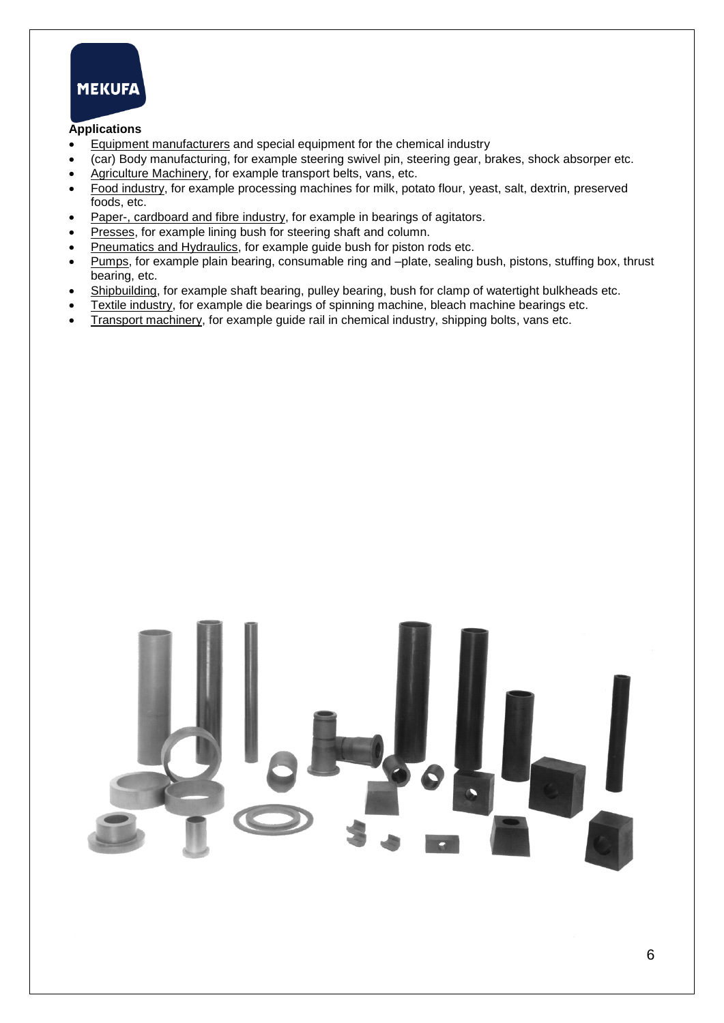

## **Applications**

- Equipment manufacturers and special equipment for the chemical industry
- (car) Body manufacturing, for example steering swivel pin, steering gear, brakes, shock absorper etc.
- Agriculture Machinery, for example transport belts, vans, etc.
- Food industry, for example processing machines for milk, potato flour, yeast, salt, dextrin, preserved foods, etc.
- Paper-, cardboard and fibre industry, for example in bearings of agitators.
- Presses, for example lining bush for steering shaft and column.
- Pneumatics and Hydraulics, for example guide bush for piston rods etc.
- Pumps, for example plain bearing, consumable ring and –plate, sealing bush, pistons, stuffing box, thrust bearing, etc.
- Shipbuilding, for example shaft bearing, pulley bearing, bush for clamp of watertight bulkheads etc.
- Textile industry, for example die bearings of spinning machine, bleach machine bearings etc.
- Transport machinery, for example guide rail in chemical industry, shipping bolts, vans etc.